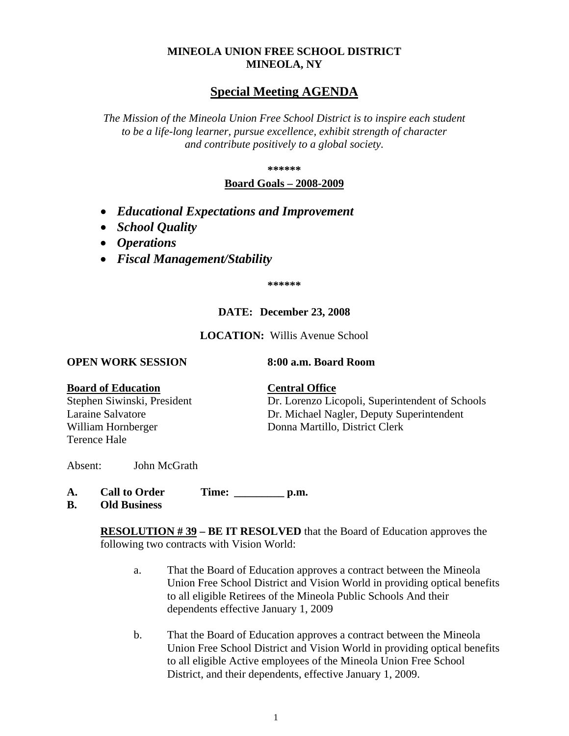# **MINEOLA UNION FREE SCHOOL DISTRICT MINEOLA, NY**

# **Special Meeting AGENDA**

*The Mission of the Mineola Union Free School District is to inspire each student to be a life-long learner, pursue excellence, exhibit strength of character and contribute positively to a global society.*

**\*\*\*\*\*\***

# **Board Goals – 2008-2009**

- *Educational Expectations and Improvement*
- *School Quality*
- *Operations*
- *Fiscal Management/Stability*

**\*\*\*\*\*\***

# **DATE: December 23, 2008**

**LOCATION:** Willis Avenue School

### **OPEN WORK SESSION 8:00 a.m. Board Room**

# **Board of Education Central Office**

Terence Hale

Stephen Siwinski, President Dr. Lorenzo Licopoli, Superintendent of Schools Laraine Salvatore Dr. Michael Nagler, Deputy Superintendent William Hornberger Donna Martillo, District Clerk

Absent: John McGrath

- **A. Call to Order Time: \_\_\_\_\_\_\_\_\_ p.m.**
- **B. Old Business**

**RESOLUTION # 39 – BE IT RESOLVED** that the Board of Education approves the following two contracts with Vision World:

- a. That the Board of Education approves a contract between the Mineola Union Free School District and Vision World in providing optical benefits to all eligible Retirees of the Mineola Public Schools And their dependents effective January 1, 2009
- b. That the Board of Education approves a contract between the Mineola Union Free School District and Vision World in providing optical benefits to all eligible Active employees of the Mineola Union Free School District, and their dependents, effective January 1, 2009.